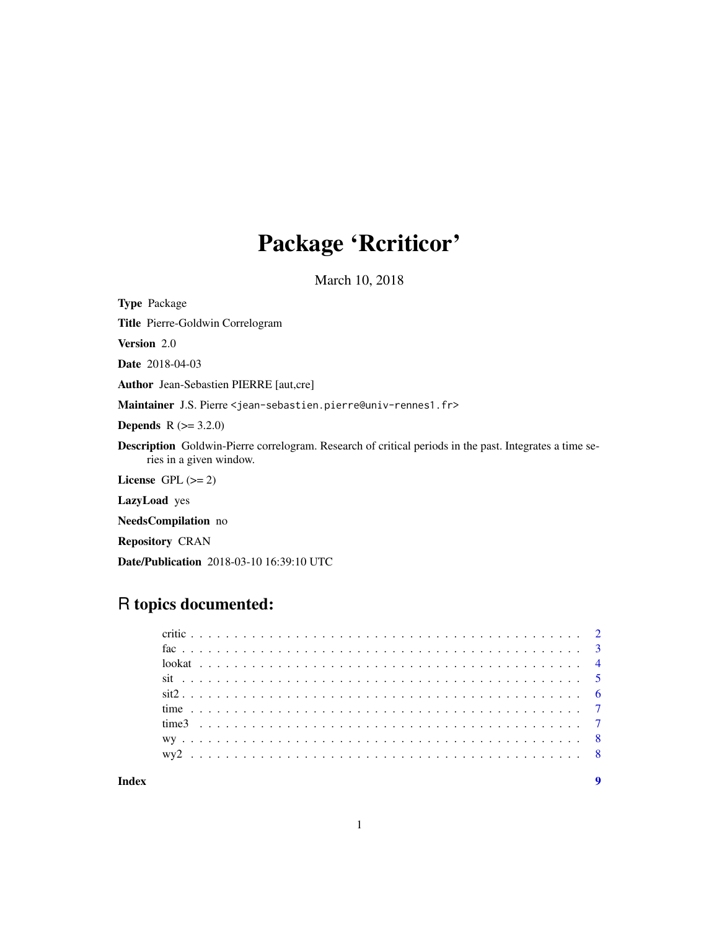## Package 'Rcriticor'

March 10, 2018

<span id="page-0-0"></span>Type Package

Title Pierre-Goldwin Correlogram

Version 2.0

Date 2018-04-03

Author Jean-Sebastien PIERRE [aut,cre]

Maintainer J.S. Pierre <jean-sebastien.pierre@univ-rennes1.fr>

**Depends** R  $(>= 3.2.0)$ 

Description Goldwin-Pierre correlogram. Research of critical periods in the past. Integrates a time series in a given window.

License GPL  $(>= 2)$ 

LazyLoad yes

NeedsCompilation no

Repository CRAN

Date/Publication 2018-03-10 16:39:10 UTC

## R topics documented: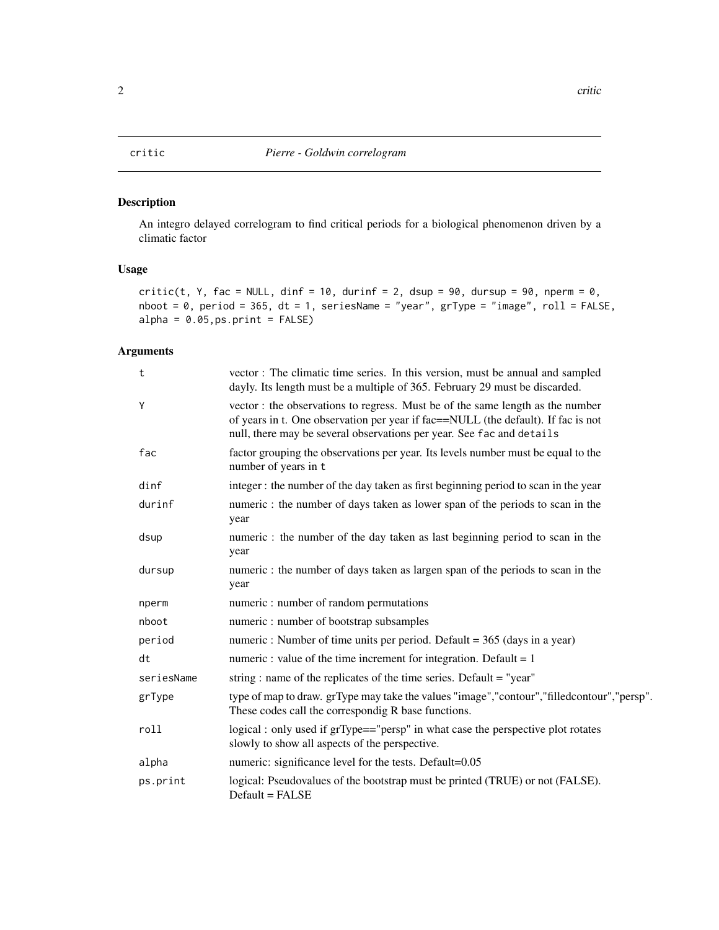#### <span id="page-1-1"></span><span id="page-1-0"></span>Description

An integro delayed correlogram to find critical periods for a biological phenomenon driven by a climatic factor

#### Usage

critic(t, Y, fac = NULL, dinf = 10, durinf = 2, dsup = 90, dursup = 90, nperm = 0, nboot = 0, period = 365, dt = 1, seriesName = "year", grType = "image", roll = FALSE,  $alpha = 0.05, ps.print = FALSE)$ 

#### Arguments

| t          | vector: The climatic time series. In this version, must be annual and sampled<br>dayly. Its length must be a multiple of 365. February 29 must be discarded.                                                                                |
|------------|---------------------------------------------------------------------------------------------------------------------------------------------------------------------------------------------------------------------------------------------|
| Y          | vector: the observations to regress. Must be of the same length as the number<br>of years in t. One observation per year if fac==NULL (the default). If fac is not<br>null, there may be several observations per year. See fac and details |
| fac        | factor grouping the observations per year. Its levels number must be equal to the<br>number of years in t                                                                                                                                   |
| dinf       | integer: the number of the day taken as first beginning period to scan in the year                                                                                                                                                          |
| durinf     | numeric: the number of days taken as lower span of the periods to scan in the<br>year                                                                                                                                                       |
| dsup       | numeric: the number of the day taken as last beginning period to scan in the<br>year                                                                                                                                                        |
| dursup     | numeric : the number of days taken as largen span of the periods to scan in the<br>year                                                                                                                                                     |
| nperm      | numeric : number of random permutations                                                                                                                                                                                                     |
| nboot      | numeric: number of bootstrap subsamples                                                                                                                                                                                                     |
| period     | numeric : Number of time units per period. Default = 365 (days in a year)                                                                                                                                                                   |
| dt         | numeric : value of the time increment for integration. Default = $1$                                                                                                                                                                        |
| seriesName | string: name of the replicates of the time series. Default = "year"                                                                                                                                                                         |
| grType     | type of map to draw. grType may take the values "image","contour","filledcontour","persp".<br>These codes call the correspondig R base functions.                                                                                           |
| roll       | logical: only used if grType=="persp" in what case the perspective plot rotates<br>slowly to show all aspects of the perspective.                                                                                                           |
| alpha      | numeric: significance level for the tests. Default=0.05                                                                                                                                                                                     |
| ps.print   | logical: Pseudovalues of the bootstrap must be printed (TRUE) or not (FALSE).<br>Default = FALSE                                                                                                                                            |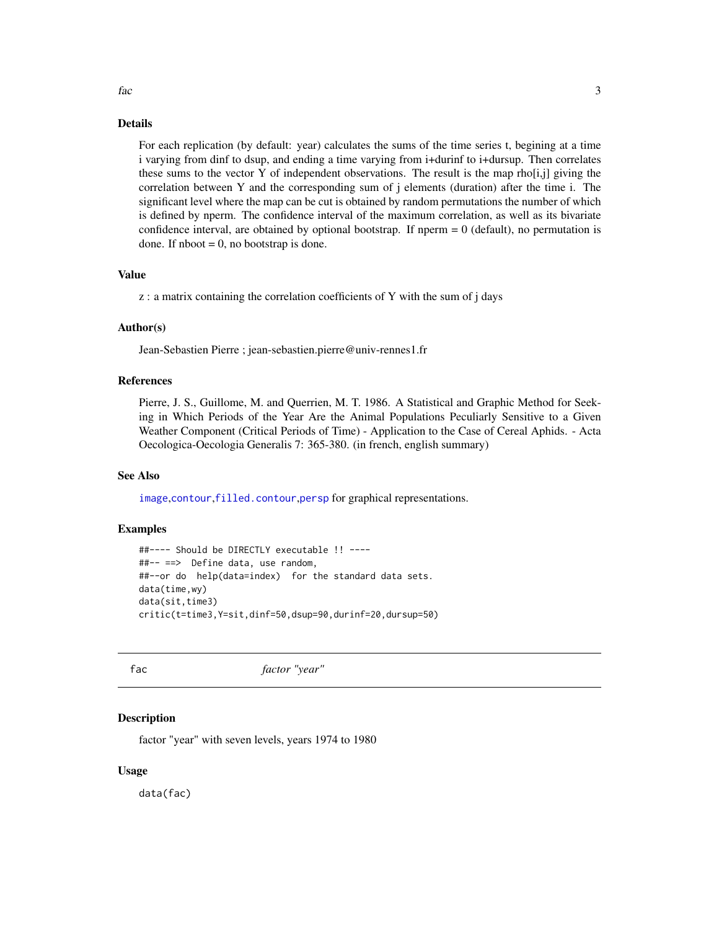#### Details

For each replication (by default: year) calculates the sums of the time series t, begining at a time i varying from dinf to dsup, and ending a time varying from i+durinf to i+dursup. Then correlates these sums to the vector Y of independent observations. The result is the map rho $[i,j]$  giving the correlation between Y and the corresponding sum of j elements (duration) after the time i. The significant level where the map can be cut is obtained by random permutations the number of which is defined by nperm. The confidence interval of the maximum correlation, as well as its bivariate confidence interval, are obtained by optional bootstrap. If nperm  $= 0$  (default), no permutation is done. If  $nboot = 0$ , no bootstrap is done.

#### Value

z : a matrix containing the correlation coefficients of Y with the sum of j days

#### Author(s)

Jean-Sebastien Pierre ; jean-sebastien.pierre@univ-rennes1.fr

#### References

Pierre, J. S., Guillome, M. and Querrien, M. T. 1986. A Statistical and Graphic Method for Seeking in Which Periods of the Year Are the Animal Populations Peculiarly Sensitive to a Given Weather Component (Critical Periods of Time) - Application to the Case of Cereal Aphids. - Acta Oecologica-Oecologia Generalis 7: 365-380. (in french, english summary)

#### See Also

[image](#page-0-0),[contour](#page-0-0),[filled.contour](#page-0-0),[persp](#page-0-0) for graphical representations.

#### Examples

```
##---- Should be DIRECTLY executable !! ----
##-- ==> Define data, use random,
##--or do help(data=index) for the standard data sets.
data(time,wy)
data(sit,time3)
critic(t=time3,Y=sit,dinf=50,dsup=90,durinf=20,dursup=50)
```
fac *factor "year"*

#### Description

factor "year" with seven levels, years 1974 to 1980

#### Usage

data(fac)

<span id="page-2-0"></span>fac 3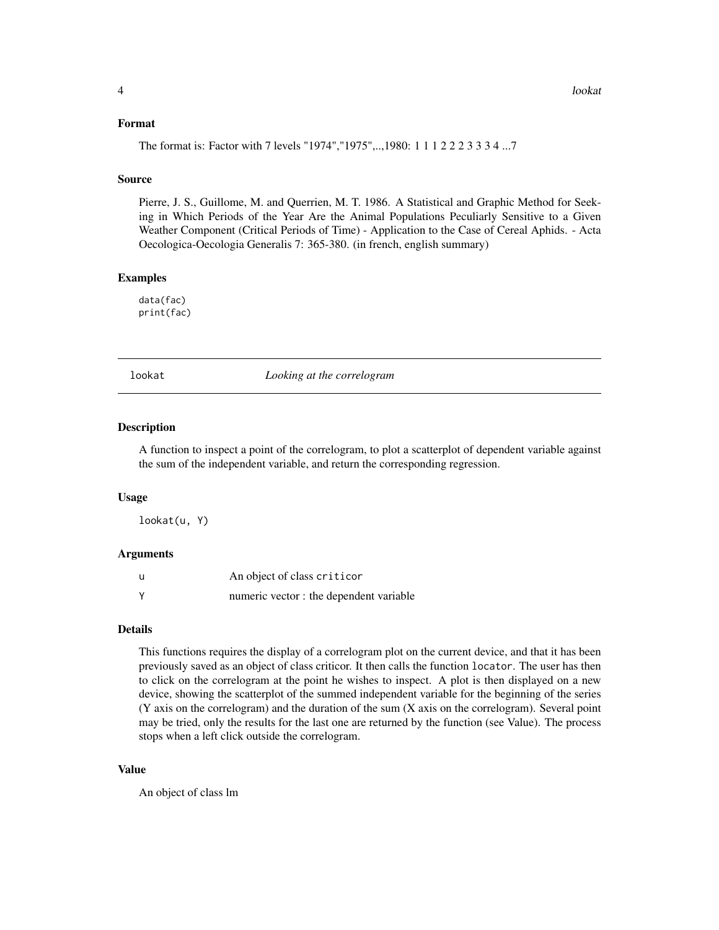#### <span id="page-3-0"></span>Format

The format is: Factor with 7 levels "1974","1975",..,1980: 1 1 1 2 2 2 3 3 3 4 ...7

#### Source

Pierre, J. S., Guillome, M. and Querrien, M. T. 1986. A Statistical and Graphic Method for Seeking in Which Periods of the Year Are the Animal Populations Peculiarly Sensitive to a Given Weather Component (Critical Periods of Time) - Application to the Case of Cereal Aphids. - Acta Oecologica-Oecologia Generalis 7: 365-380. (in french, english summary)

#### Examples

data(fac) print(fac)

lookat *Looking at the correlogram*

#### Description

A function to inspect a point of the correlogram, to plot a scatterplot of dependent variable against the sum of the independent variable, and return the corresponding regression.

#### Usage

lookat(u, Y)

#### Arguments

| u | An object of class criticor             |
|---|-----------------------------------------|
| Y | numeric vector : the dependent variable |

#### Details

This functions requires the display of a correlogram plot on the current device, and that it has been previously saved as an object of class criticor. It then calls the function locator. The user has then to click on the correlogram at the point he wishes to inspect. A plot is then displayed on a new device, showing the scatterplot of the summed independent variable for the beginning of the series (Y axis on the correlogram) and the duration of the sum (X axis on the correlogram). Several point may be tried, only the results for the last one are returned by the function (see Value). The process stops when a left click outside the correlogram.

#### Value

An object of class lm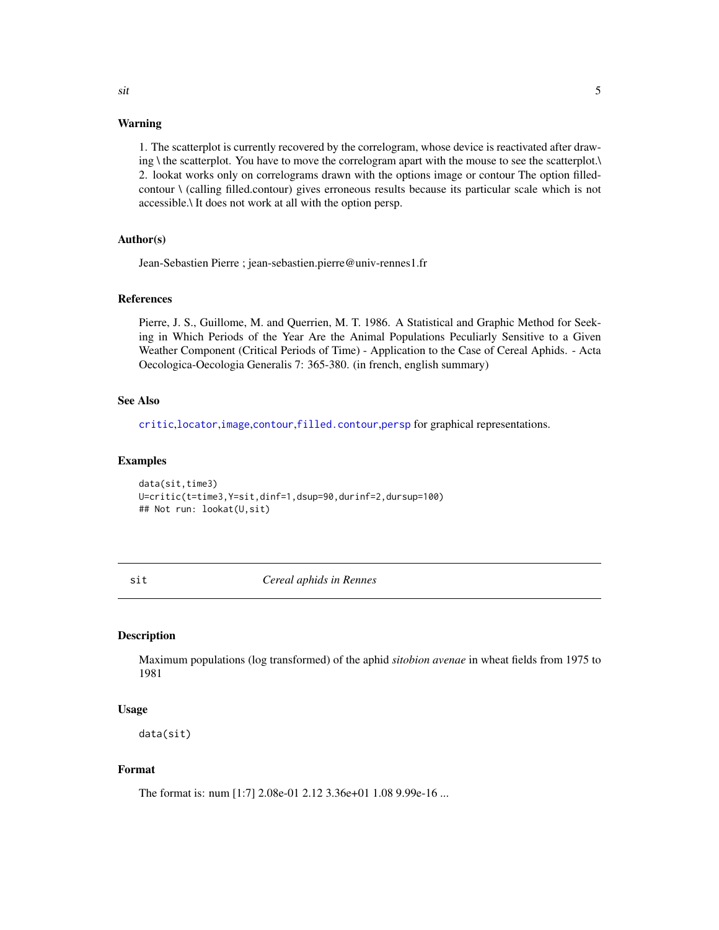#### Warning

1. The scatterplot is currently recovered by the correlogram, whose device is reactivated after drawing \ the scatterplot. You have to move the correlogram apart with the mouse to see the scatterplot.\ 2. lookat works only on correlograms drawn with the options image or contour The option filledcontour \ (calling filled.contour) gives erroneous results because its particular scale which is not accessible.\ It does not work at all with the option persp.

### Author(s)

Jean-Sebastien Pierre ; jean-sebastien.pierre@univ-rennes1.fr

#### References

Pierre, J. S., Guillome, M. and Querrien, M. T. 1986. A Statistical and Graphic Method for Seeking in Which Periods of the Year Are the Animal Populations Peculiarly Sensitive to a Given Weather Component (Critical Periods of Time) - Application to the Case of Cereal Aphids. - Acta Oecologica-Oecologia Generalis 7: 365-380. (in french, english summary)

#### See Also

[critic](#page-1-1),[locator](#page-0-0),[image](#page-0-0),[contour](#page-0-0),[filled.contour](#page-0-0),[persp](#page-0-0) for graphical representations.

#### Examples

```
data(sit,time3)
U=critic(t=time3,Y=sit,dinf=1,dsup=90,durinf=2,dursup=100)
## Not run: lookat(U,sit)
```
sit *Cereal aphids in Rennes*

#### Description

Maximum populations (log transformed) of the aphid *sitobion avenae* in wheat fields from 1975 to 1981

#### Usage

data(sit)

#### Format

The format is: num [1:7] 2.08e-01 2.12 3.36e+01 1.08 9.99e-16 ...

<span id="page-4-0"></span>sit 5 and 5 and 5 and 5 and 5 and 5 and 5 and 5 and 5 and 5 and 5 and 5 and 5 and 5 and 5 and 5 and 5 and 5 and 5 and 5 and 5 and 5 and 5 and 5 and 5 and 5 and 5 and 5 and 5 and 5 and 5 and 5 and 5 and 5 and 5 and 5 and 5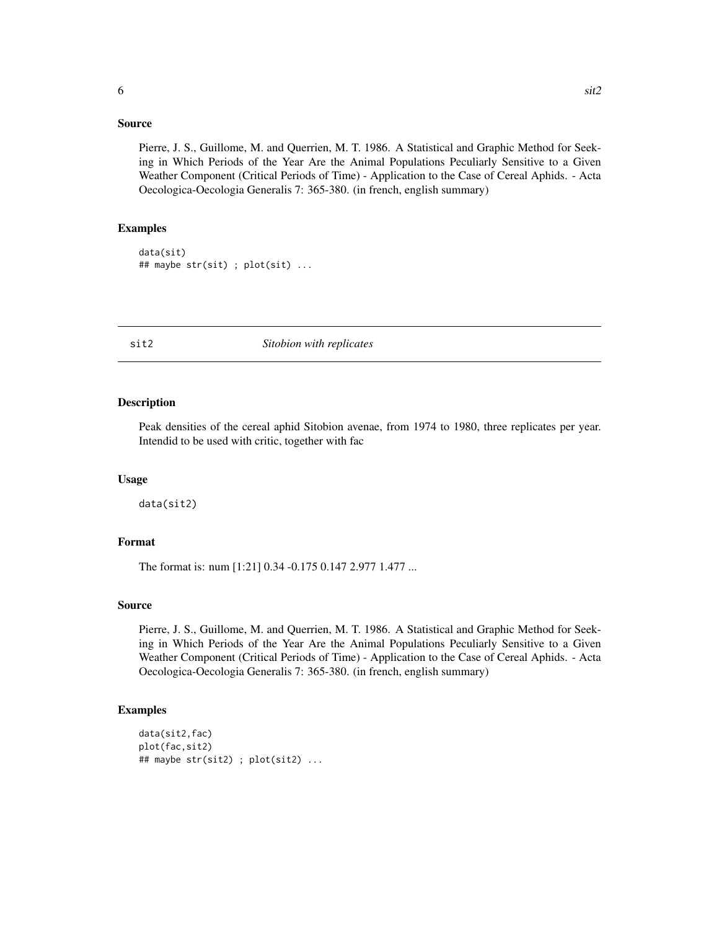#### <span id="page-5-0"></span>Source

Pierre, J. S., Guillome, M. and Querrien, M. T. 1986. A Statistical and Graphic Method for Seeking in Which Periods of the Year Are the Animal Populations Peculiarly Sensitive to a Given Weather Component (Critical Periods of Time) - Application to the Case of Cereal Aphids. - Acta Oecologica-Oecologia Generalis 7: 365-380. (in french, english summary)

#### Examples

```
data(sit)
## maybe str(sit) ; plot(sit) ...
```
#### sit2 *Sitobion with replicates*

#### Description

Peak densities of the cereal aphid Sitobion avenae, from 1974 to 1980, three replicates per year. Intendid to be used with critic, together with fac

#### Usage

data(sit2)

### Format

The format is: num [1:21] 0.34 -0.175 0.147 2.977 1.477 ...

#### Source

Pierre, J. S., Guillome, M. and Querrien, M. T. 1986. A Statistical and Graphic Method for Seeking in Which Periods of the Year Are the Animal Populations Peculiarly Sensitive to a Given Weather Component (Critical Periods of Time) - Application to the Case of Cereal Aphids. - Acta Oecologica-Oecologia Generalis 7: 365-380. (in french, english summary)

#### Examples

```
data(sit2,fac)
plot(fac,sit2)
## maybe str(sit2) ; plot(sit2) ...
```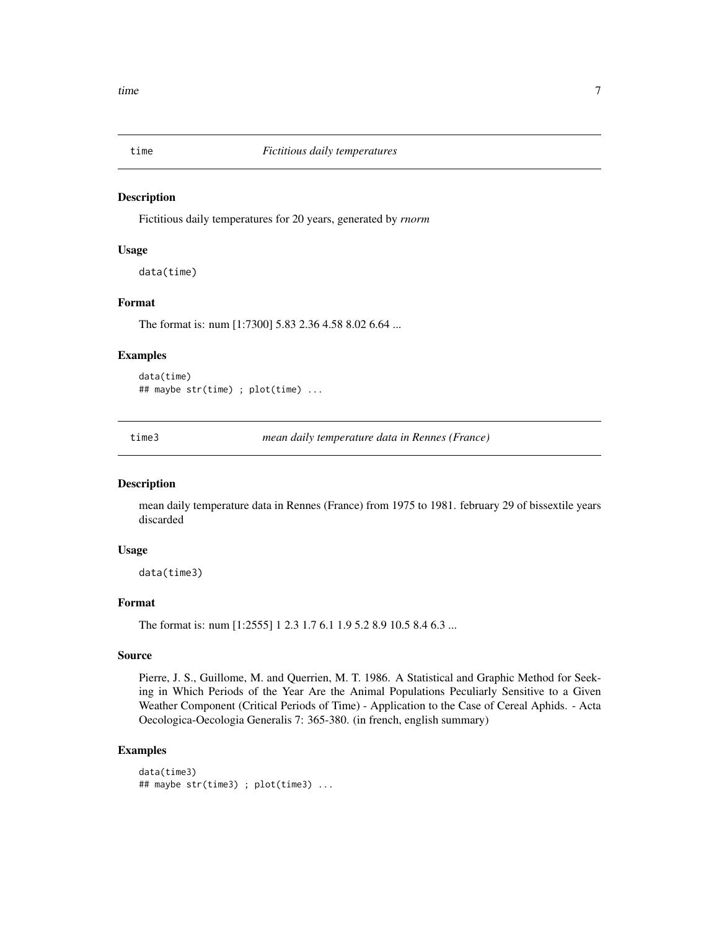<span id="page-6-0"></span>

#### Description

Fictitious daily temperatures for 20 years, generated by *rnorm*

#### Usage

data(time)

#### Format

The format is: num [1:7300] 5.83 2.36 4.58 8.02 6.64 ...

#### Examples

data(time) ## maybe str(time) ; plot(time) ...

time3 *mean daily temperature data in Rennes (France)*

#### Description

mean daily temperature data in Rennes (France) from 1975 to 1981. february 29 of bissextile years discarded

#### Usage

data(time3)

#### Format

The format is: num [1:2555] 1 2.3 1.7 6.1 1.9 5.2 8.9 10.5 8.4 6.3 ...

#### Source

Pierre, J. S., Guillome, M. and Querrien, M. T. 1986. A Statistical and Graphic Method for Seeking in Which Periods of the Year Are the Animal Populations Peculiarly Sensitive to a Given Weather Component (Critical Periods of Time) - Application to the Case of Cereal Aphids. - Acta Oecologica-Oecologia Generalis 7: 365-380. (in french, english summary)

### Examples

```
data(time3)
## maybe str(time3) ; plot(time3) ...
```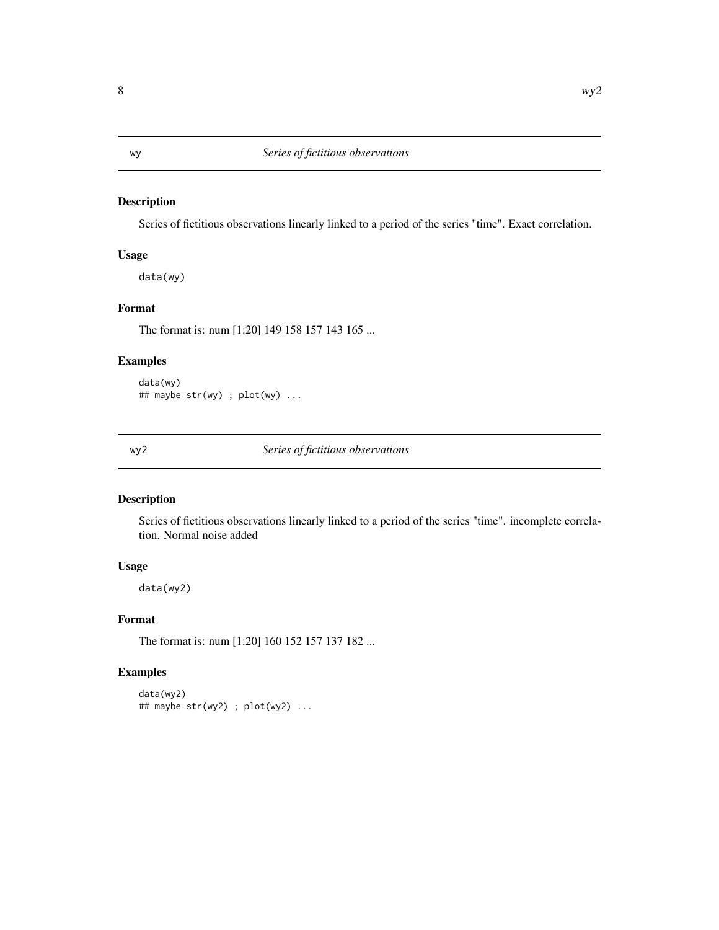#### <span id="page-7-0"></span>Description

Series of fictitious observations linearly linked to a period of the series "time". Exact correlation.

#### Usage

data(wy)

#### Format

The format is: num [1:20] 149 158 157 143 165 ...

#### Examples

data(wy) ## maybe str(wy) ; plot(wy) ...

wy2 *Series of fictitious observations*

#### Description

Series of fictitious observations linearly linked to a period of the series "time". incomplete correlation. Normal noise added

#### Usage

data(wy2)

#### Format

The format is: num [1:20] 160 152 157 137 182 ...

#### Examples

```
data(wy2)
## maybe str(wy2) ; plot(wy2) ...
```